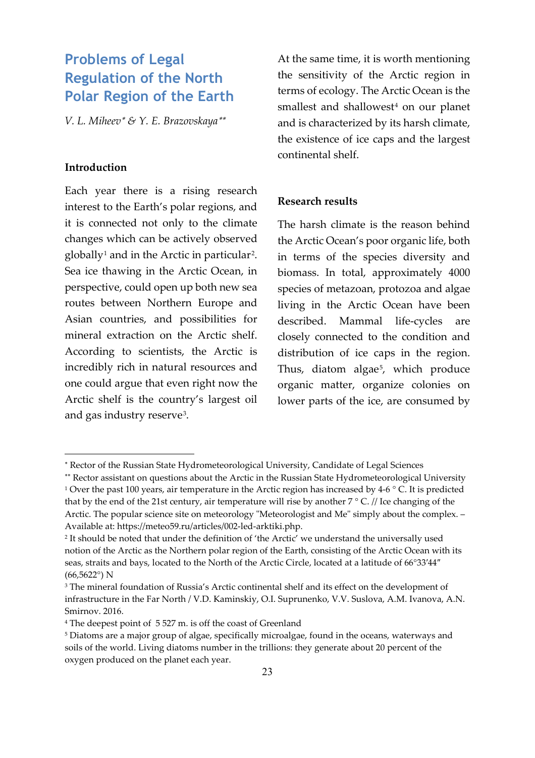# **Problems of Legal Regulation of the North Polar Region of the Earth**

*V. L. Miheev*<sup>∗</sup> *& Y. E. Brazovskaya*[∗∗](#page-0-0)

## **Introduction**

 $\overline{a}$ 

Each year there is a rising research interest to the Earth's polar regions, and it is connected not only to the climate changes which can be actively observed  $g$ lobally<sup>[1](#page-0-1)</sup> and in the Arctic in particular<sup>[2](#page-0-2)</sup>. Sea ice thawing in the Arctic Ocean, in perspective, could open up both new sea routes between Northern Europe and Asian countries, and possibilities for mineral extraction on the Arctic shelf. According to scientists, the Arctic is incredibly rich in natural resources and one could argue that even right now the Arctic shelf is the country's largest oil and gas industry reserve[3](#page-0-3).

At the same time, it is worth mentioning the sensitivity of the Arctic region in terms of ecology. The Arctic Ocean is the smallest and shallowest<sup>[4](#page-0-4)</sup> on our planet and is characterized by its harsh climate, the existence of ice caps and the largest continental shelf.

#### **Research results**

The harsh climate is the reason behind the Arctic Ocean's poor organic life, both in terms of the species diversity and biomass. In total, approximately 4000 species of metazoan, protozoa and algae living in the Arctic Ocean have been described. Mammal life-cycles are closely connected to the condition and distribution of ice caps in the region. Thus, diatom algae<sup>5</sup>, which produce organic matter, organize colonies on lower parts of the ice, are consumed by

<sup>∗</sup> Rector of the Russian State Hydrometeorological University, Candidate of Legal Sciences

<span id="page-0-1"></span><span id="page-0-0"></span><sup>∗∗</sup> Rector assistant on questions about the Arctic in the Russian State Hydrometeorological University <sup>1</sup> Over the past 100 years, air temperature in the Arctic region has increased by 4-6  $\degree$  C. It is predicted that by the end of the 21st century, air temperature will rise by another  $7 \degree C$ . // Ice changing of the Arctic. The popular science site on meteorology "Meteorologist and Me" simply about the complex. – Available at: https://meteo59.ru/articles/002-led-arktiki.php.

<span id="page-0-2"></span><sup>2</sup> It should be noted that under the definition of 'the Arctic' we understand the universally used notion of the Arctic as the Northern polar region of the Earth, consisting of the Arctic Ocean with its seas, straits and bays, located to the North of the Arctic Circle, located at a latitude of 66°33′44″ (66,5622°) N

<span id="page-0-3"></span><sup>&</sup>lt;sup>3</sup> The mineral foundation of Russia's Arctic continental shelf and its effect on the development of infrastructure in the Far North / V.D. Kaminskiy, O.I. Suprunenko, V.V. Suslova, A.M. Ivanova, A.N. Smirnov. 2016.

<span id="page-0-4"></span><sup>4</sup> The deepest point of 5 527 m. is off the coast of Greenland

<span id="page-0-5"></span><sup>5</sup> Diatoms are a major group of algae, specifically microalgae, found in the oceans, waterways and soils of the world. Living diatoms number in the trillions: they generate about 20 percent of the oxygen produced on the planet each year.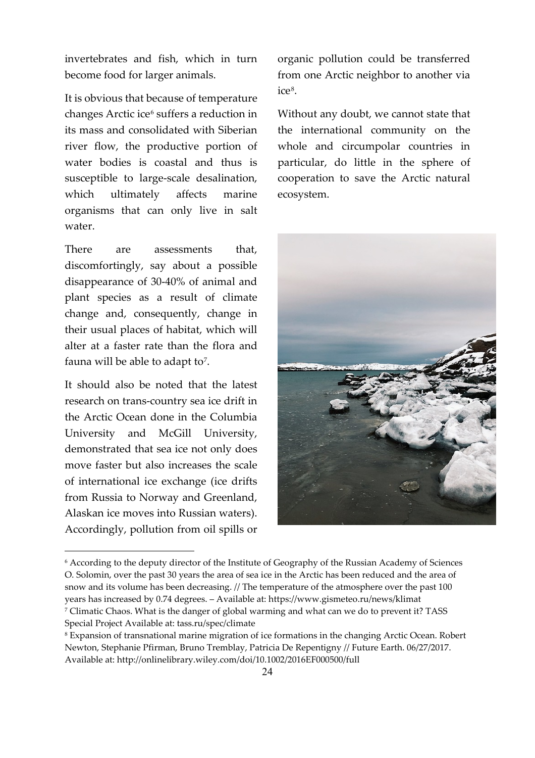invertebrates and fish, which in turn become food for larger animals.

It is obvious that because of temperature changes Arctic ice<sup>[6](#page-1-0)</sup> suffers a reduction in its mass and consolidated with Siberian river flow, the productive portion of water bodies is coastal and thus is susceptible to large-scale desalination, which ultimately affects marine organisms that can only live in salt water.

There are assessments that, discomfortingly, say about a possible disappearance of 30-40% of animal and plant species as a result of climate change and, consequently, change in their usual places of habitat, which will alter at a faster rate than the flora and fauna will be able to adapt to<sup>[7](#page-1-1)</sup>.

It should also be noted that the latest research on trans-country sea ice drift in the Arctic Ocean done in the Columbia University and McGill University, demonstrated that sea ice not only does move faster but also increases the scale of international ice exchange (ice drifts from Russia to Norway and Greenland, Alaskan ice moves into Russian waters). Accordingly, pollution from oil spills or

<span id="page-1-0"></span> $\overline{a}$ 

organic pollution could be transferred from one Arctic neighbor to another via ice<sup>[8](#page-1-2)</sup>.

Without any doubt, we cannot state that the international community on the whole and circumpolar countries in particular, do little in the sphere of cooperation to save the Arctic natural ecosystem.



<sup>6</sup> According to the deputy director of the Institute of Geography of the Russian Academy of Sciences O. Solomin, over the past 30 years the area of sea ice in the Arctic has been reduced and the area of snow and its volume has been decreasing. // The temperature of the atmosphere over the past 100 years has increased by 0.74 degrees. – Available at: https://www.gismeteo.ru/news/klimat <sup>7</sup> Climatic Chaos. What is the danger of global warming and what can we do to prevent it? TASS Special Project Available at: tass.ru/spec/climate

<span id="page-1-2"></span><span id="page-1-1"></span><sup>8</sup> Expansion of transnational marine migration of ice formations in the changing Arctic Ocean. Robert Newton, Stephanie Pfirman, Bruno Tremblay, Patricia De Repentigny // Future Earth. 06/27/2017. Available at: http://onlinelibrary.wiley.com/doi/10.1002/2016EF000500/full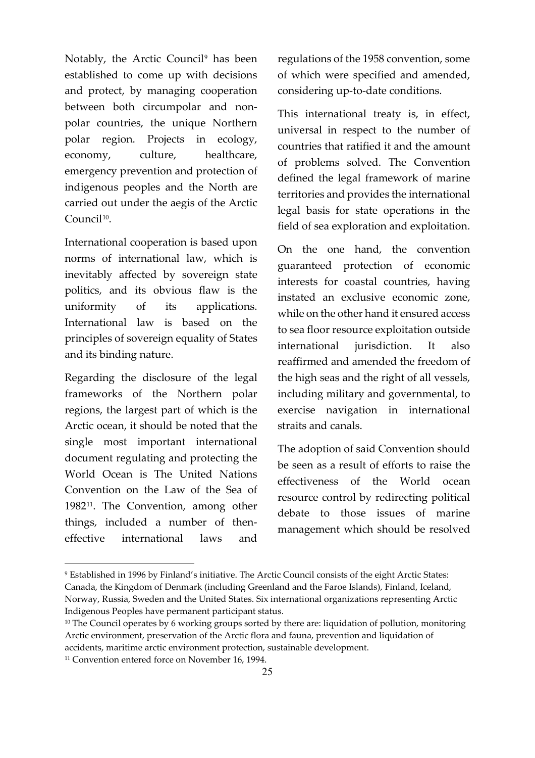Notably, the Arctic Council<sup>[9](#page-2-0)</sup> has been established to come up with decisions and protect, by managing cooperation between both circumpolar and nonpolar countries, the unique Northern polar region. Projects in ecology, economy, culture, healthcare, emergency prevention and protection of indigenous peoples and the North are carried out under the aegis of the Arctic Council<sup>[10](#page-2-1)</sup>.

International cooperation is based upon norms of international law, which is inevitably affected by sovereign state politics, and its obvious flaw is the uniformity of its applications. International law is based on the principles of sovereign equality of States and its binding nature.

Regarding the disclosure of the legal frameworks of the Northern polar regions, the largest part of which is the Arctic ocean, it should be noted that the single most important international document regulating and protecting the World Ocean is The United Nations Convention on the Law of the Sea of 1982<sup>11</sup>. The Convention, among other things, included a number of theneffective international laws and

 $\overline{a}$ 

regulations of the 1958 convention, some of which were specified and amended, considering up-to-date conditions.

This international treaty is, in effect, universal in respect to the number of countries that ratified it and the amount of problems solved. The Convention defined the legal framework of marine territories and provides the international legal basis for state operations in the field of sea exploration and exploitation.

On the one hand, the convention guaranteed protection of economic interests for coastal countries, having instated an exclusive economic zone, while on the other hand it ensured access to sea floor resource exploitation outside international jurisdiction. It also reaffirmed and amended the freedom of the high seas and the right of all vessels, including military and governmental, to exercise navigation in international straits and canals.

The adoption of said Convention should be seen as a result of efforts to raise the effectiveness of the World ocean resource control by redirecting political debate to those issues of marine management which should be resolved

<span id="page-2-0"></span><sup>9</sup> Established in 1996 by Finland's initiative. The Arctic Council consists of the eight Arctic States: Canada, the Kingdom of Denmark (including Greenland and the Faroe Islands), Finland, Iceland, Norway, Russia, Sweden and the United States. Six international organizations representing Arctic Indigenous Peoples have permanent participant status.

<span id="page-2-1"></span><sup>&</sup>lt;sup>10</sup> The Council operates by 6 working groups sorted by there are: liquidation of pollution, monitoring Arctic environment, preservation of the Arctic flora and fauna, prevention and liquidation of accidents, maritime arctic environment protection, sustainable development.

<span id="page-2-2"></span><sup>&</sup>lt;sup>11</sup> Convention entered force on November 16, 1994.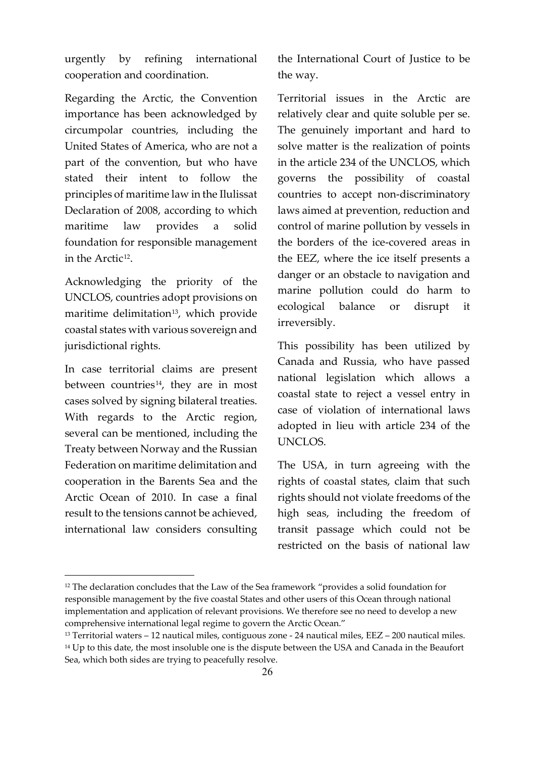urgently by refining international cooperation and coordination.

Regarding the Arctic, the Convention importance has been acknowledged by circumpolar countries, including the United States of America, who are not a part of the convention, but who have stated their intent to follow the principles of maritime law in the Ilulissat Declaration of 2008, according to which maritime law provides a solid foundation for responsible management in the Arctic<sup>12</sup>.

Acknowledging the priority of the UNCLOS, countries adopt provisions on maritime delimitation<sup>[13](#page-3-1)</sup>, which provide coastal states with various sovereign and jurisdictional rights.

In case territorial claims are present between countries<sup>[14](#page-3-2)</sup>, they are in most cases solved by signing bilateral treaties. With regards to the Arctic region, several can be mentioned, including the Treaty between Norway and the Russian Federation on maritime delimitation and cooperation in the Barents Sea and the Arctic Ocean of 2010. In case a final result to the tensions cannot be achieved, international law considers consulting

 $\overline{a}$ 

the International Court of Justice to be the way.

Territorial issues in the Arctic are relatively clear and quite soluble per se. The genuinely important and hard to solve matter is the realization of points in the article 234 of the UNCLOS, which governs the possibility of coastal countries to accept non-discriminatory laws aimed at prevention, reduction and control of marine pollution by vessels in the borders of the ice-covered areas in the EEZ, where the ice itself presents a danger or an obstacle to navigation and marine pollution could do harm to ecological balance or disrupt it irreversibly.

This possibility has been utilized by Canada and Russia, who have passed national legislation which allows a coastal state to reject a vessel entry in case of violation of international laws adopted in lieu with article 234 of the UNCLOS.

The USA, in turn agreeing with the rights of coastal states, claim that such rights should not violate freedoms of the high seas, including the freedom of transit passage which could not be restricted on the basis of national law

<span id="page-3-0"></span><sup>&</sup>lt;sup>12</sup> The declaration concludes that the Law of the Sea framework "provides a solid foundation for responsible management by the five coastal States and other users of this Ocean through national implementation and application of relevant provisions. We therefore see no need to develop a new comprehensive international legal regime to govern the Arctic Ocean."

<span id="page-3-1"></span><sup>13</sup> Territorial waters – 12 nautical miles, contiguous zone - 24 nautical miles, EEZ – 200 nautical miles.

<span id="page-3-2"></span><sup>&</sup>lt;sup>14</sup> Up to this date, the most insoluble one is the dispute between the USA and Canada in the Beaufort Sea, which both sides are trying to peacefully resolve.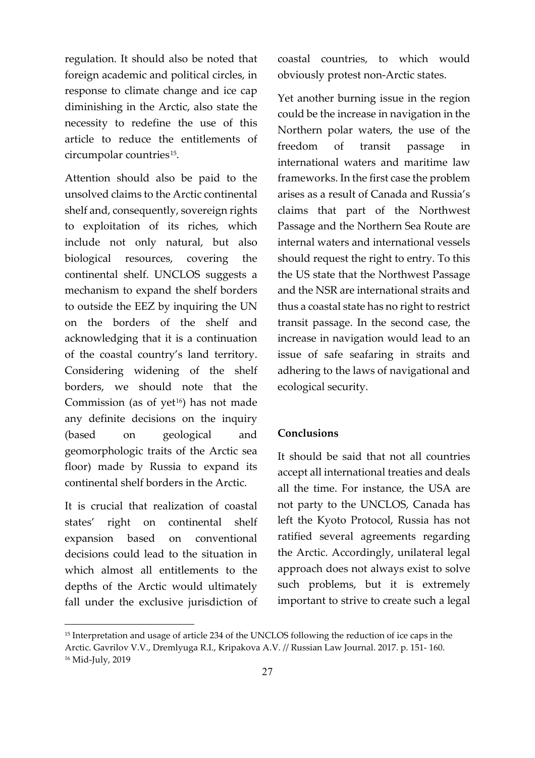regulation. It should also be noted that foreign academic and political circles, in response to climate change and ice cap diminishing in the Arctic, also state the necessity to redefine the use of this article to reduce the entitlements of circumpolar countries<sup>[15](#page-4-0)</sup>.

Attention should also be paid to the unsolved claims to the Arctic continental shelf and, consequently, sovereign rights to exploitation of its riches, which include not only natural, but also biological resources, covering the continental shelf. UNCLOS suggests a mechanism to expand the shelf borders to outside the EEZ by inquiring the UN on the borders of the shelf and acknowledging that it is a continuation of the coastal country's land territory. Considering widening of the shelf borders, we should note that the Commission (as of yet $16$ ) has not made any definite decisions on the inquiry (based on geological and geomorphologic traits of the Arctic sea floor) made by Russia to expand its continental shelf borders in the Arctic.

It is crucial that realization of coastal states' right on continental shelf expansion based on conventional decisions could lead to the situation in which almost all entitlements to the depths of the Arctic would ultimately fall under the exclusive jurisdiction of

 $\overline{a}$ 

coastal countries, to which would obviously protest non-Arctic states.

Yet another burning issue in the region could be the increase in navigation in the Northern polar waters, the use of the freedom of transit passage in international waters and maritime law frameworks. In the first case the problem arises as a result of Canada and Russia's claims that part of the Northwest Passage and the Northern Sea Route are internal waters and international vessels should request the right to entry. To this the US state that the Northwest Passage and the NSR are international straits and thus a coastal state has no right to restrict transit passage. In the second case, the increase in navigation would lead to an issue of safe seafaring in straits and adhering to the laws of navigational and ecological security.

## **Conclusions**

It should be said that not all countries accept all international treaties and deals all the time. For instance, the USA are not party to the UNCLOS, Canada has left the Kyoto Protocol, Russia has not ratified several agreements regarding the Arctic. Accordingly, unilateral legal approach does not always exist to solve such problems, but it is extremely important to strive to create such a legal

<span id="page-4-1"></span><span id="page-4-0"></span><sup>&</sup>lt;sup>15</sup> Interpretation and usage of article 234 of the UNCLOS following the reduction of ice caps in the Arctic. Gavrilov V.V., Dremlyuga R.I., Kripakova A.V. // Russian Law Journal. 2017. p. 151- 160. <sup>16</sup> Mid-July, 2019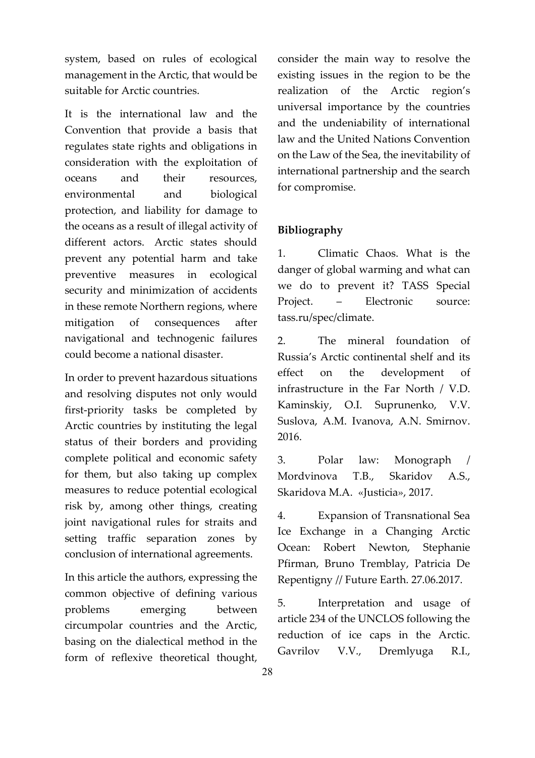system, based on rules of ecological management in the Arctic, that would be suitable for Arctic countries.

It is the international law and the Convention that provide a basis that regulates state rights and obligations in consideration with the exploitation of oceans and their resources, environmental and biological protection, and liability for damage to the oceans as a result of illegal activity of different actors. Arctic states should prevent any potential harm and take preventive measures in ecological security and minimization of accidents in these remote Northern regions, where mitigation of consequences after navigational and technogenic failures could become a national disaster.

In order to prevent hazardous situations and resolving disputes not only would first-priority tasks be completed by Arctic countries by instituting the legal status of their borders and providing complete political and economic safety for them, but also taking up complex measures to reduce potential ecological risk by, among other things, creating joint navigational rules for straits and setting traffic separation zones by conclusion of international agreements.

In this article the authors, expressing the common objective of defining various problems emerging between circumpolar countries and the Arctic, basing on the dialectical method in the form of reflexive theoretical thought,

consider the main way to resolve the existing issues in the region to be the realization of the Arctic region's universal importance by the countries and the undeniability of international law and the United Nations Convention on the Law of the Sea, the inevitability of international partnership and the search for compromise.

## **Bibliography**

1. Climatic Chaos. What is the danger of global warming and what can we do to prevent it? TASS Special Project. – Electronic source: tass.ru/spec/climate.

2. The mineral foundation of Russia's Arctic continental shelf and its effect on the development of infrastructure in the Far North / V.D. Kaminskiy, O.I. Suprunenko, V.V. Suslova, A.M. Ivanova, A.N. Smirnov. 2016.

3. Polar law: Monograph / Mordvinova T.B., Skaridov A.S., Skaridova M.A. «Justicia», 2017.

4. Expansion of Transnational Sea Ice Exchange in a Changing Arctic Ocean: Robert Newton, Stephanie Pfirman, Bruno Tremblay, Patricia De Repentigny // Future Earth. 27.06.2017.

5. Interpretation and usage of article 234 of the UNCLOS following the reduction of ice caps in the Arctic. Gavrilov V.V., Dremlyuga R.I.,